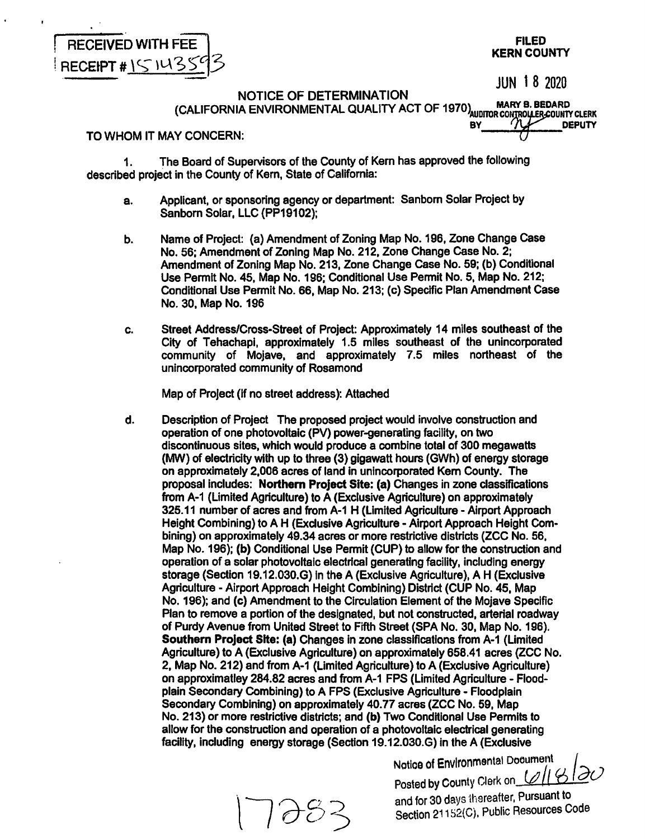**FILED KERN COUNTY** 

JUN 1 8 2020

NOTICE OF DETERMINATION **(CALIFORNIA ENVIRONMENT AL QUALITY ACT** OF **1970>..nim,·T·- ev \_\_ ..,... \_\_ oEPUTY** 

# TO WHOM IT MAY CONCERN:

RECEIVED WITH FEE

RECEIPT # 151435

1. The Board of Supervisors of the County of Kem has approved the following described project in the County of Kem, State of California:

- a. Applicant, or sponsoring agency or department: Sanborn Solar Project by Sanborn Solar, LLC (PP19102);
- b. Name of Project: (a) Amendment of Zoning Map No. 196, Zone Change Case No. 56; Amendment of Zoning Map No. 212, Zone Change Case No. 2; Amendment of Zoning Map No. 213, Zone Change Case No. 59; (b) Conditional Use Permit No. 45, Map No. 196; Conditional Use Permit No. 5, Map No. 212; Conditional Use Permit No. 66, Map No. 213; (c) Specific Plan Amendment Case No. 30, Map No. 196
- c. Street Address/Cross-Street of Project: Approximately 14 miles southeast of the City of Tehachapi, approximately 1.5 miles southeast of the unincorporated community of Mojave, and approximately 7.5 miles northeast of the unincorporated community of Rosamond

Map of Project (If no street address): Attached

d. Description of Project The proposed project would involve construction and operation of one photovoltaic (PV) power-generating facility, on two discontinuous sites, which would produce a combine total of 300 **megawatts**  (MW) of electricity with up to three (3) gigawatt hours (GWh) of energy storage on approximately 2,006 acres of land in unincorporated Kem County. The proposal includes: **Northern Project Site: (a)** Changes in zone classifications from A-1 (Limited Agriculture) to A (Exclusive Agriculture) on approximately 325.11 number of acres and from A-1 H (Limited Agriculture - Airport Approach Height Combining) to A H (Exclusive Agriculture - Airport Approach Height Combining) on approximately 49.34 acres or more restrictive districts (ZCC No. 56, Map No. 196); (b) Conditional Use Permit (CUP) to allow for the construction and operation of a solar photovoltaic electrical generating facility, including energy storage (Section 19.12.030.G) in the A (Exclusive Agriculture), A H (Exclusive Agriculture - Airport Approach Height Combining) District (CUP No. 45, Map No. 196); and (c) Amendment to the Circulation Element of the Mojave Specific Plan to remove a portion of the designated, but not constructed, arterial roadway of Purdy Avenue from United Street to Fifth Street (SPA No. 30, Map No. 196). **Southern Project Site: (a)** Changes In zone classifications from A-1 (Limited Agriculture) to A (Exclusive Agriculture) on approximately 658.41 acres (ZCC No. 2, Map No. 212) and from A-1 (Limited Agriculture) to A (Exclusive Agriculture) on approximatley 284.82 acres and from A-1 FPS (Limited Agriculture- Floodplain Secondary Combining) to A FPS (Exclusive Agriculture - Floodplain Secondary Combining) on approximately 40.77 acres (ZCC No. 59, Map No. 213) or more restrictive districts; and (b) Two Conditional Use Permits to allow for the construction and operation of a photovoltaic electrical generating facility, including energy storage (Section 19.12.030.G) in the A (Exclusive

Notice of Envlronmental Dooument /

Posted by County Clerk on *lell* & 20 and for 30 days thereafter, Pursuant to Section 21152(C), Public Resources Code

''∂'ර <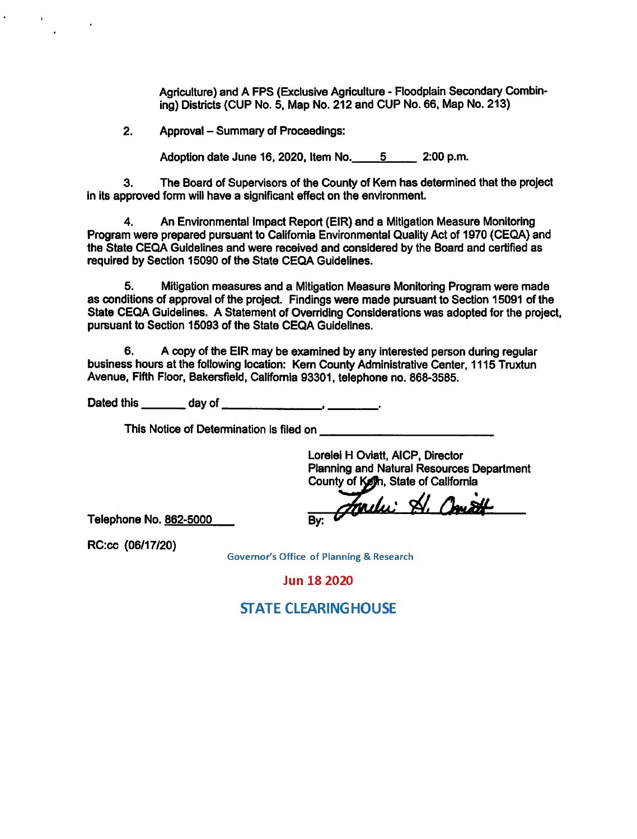Agriculture) and A FPS (Exclusive Agriculture - Floodplain Secondary Combining) Districts {CUP No. 5, Map No. 212 and CUP No. 66, Map No. 213)

2. Approval – Summary of Proceedings:

Adoption date June 16, 2020, Item No. \_\_\_\_ 5 \_\_\_ 2:00 p.m.

3. The Board of Supervisors of the County of Kem has determined that the project in its approved form will have a significant effect on the environment.

4. An Environmental Impact Report (EIR) and a Mitigation Measure Monitoring Program were prepared pursuant to California Environmental Quality Act of 1970 (CEQA) and the State CEQA Guidelines and were received and considered by the Board and certified as required by Section 15090 of the State CEQA Guidelines.

5. Mitigation measures and a Mitigation Measure Monitoring Program were made as conditions of approval of the project. Findings were made pursuant to Section 15091 of the State CEQA Guidelines. A Statement of Overriding Considerations was adopted for the project, pursuant to Section 15093 of the State CEQA Guidelines.

6. A copy of the EIR may be examined by any Interested person during regular business hours at the following location: Kem County Administrative Center, 1115 Truxtun Avenue, Fifth Floor, Bakersfield, California 93301, telephone no. 868-3585.

Dated this \_\_\_ day of \_\_\_\_\_\_\_ , \_\_\_ \_

This Notice of Determination is filed on

----------- Lorelei H Oviatt, AICP, Director Planning and Natural Resources Department County of Keth, State of California

Fordu: A. **By:** 

Telephone No. 862-5000

RC:cc (06/17/20)

**Governor's Office of Planning & Research** 

**Jun 18 2020** 

# **STATE CLEARINGHOUSE**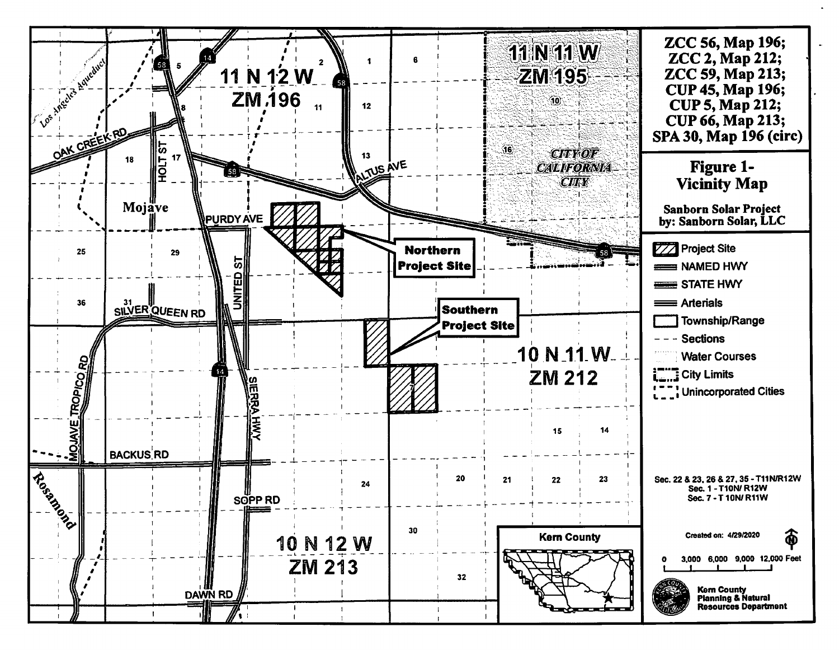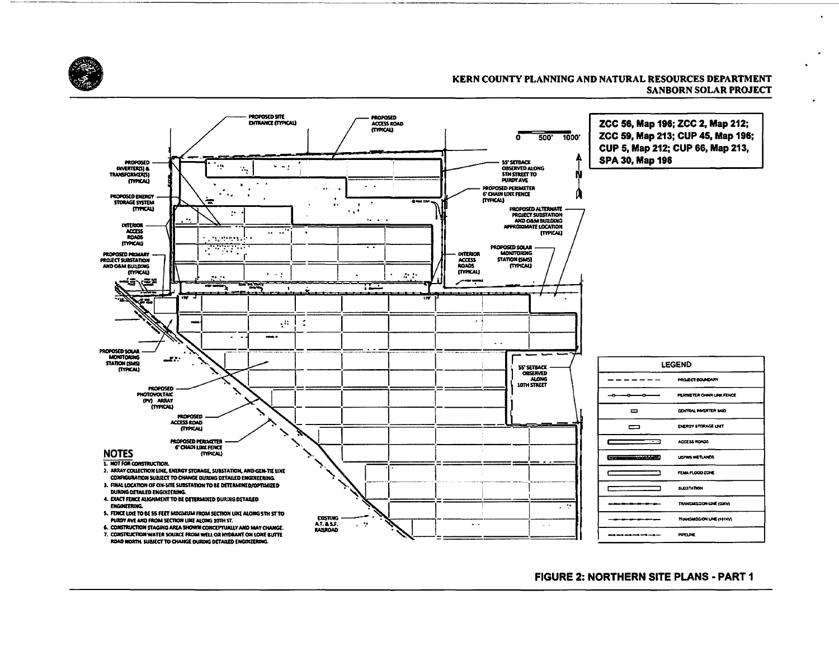



## **FIGURE 2: NORTHERN SITE PLANS - PART 1**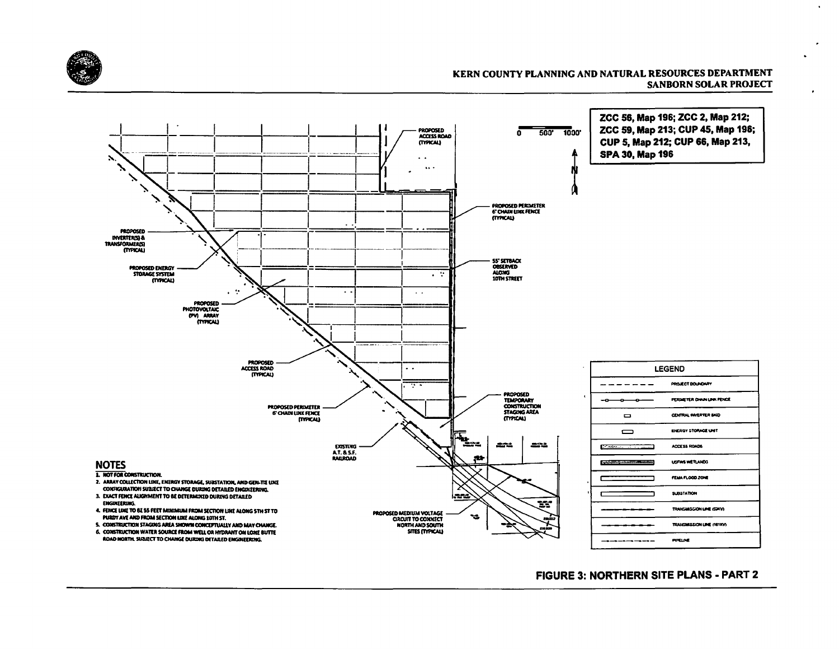

 $\bullet$ 



# FIGURE 3: NORTHERN SITE PLANS - PART 2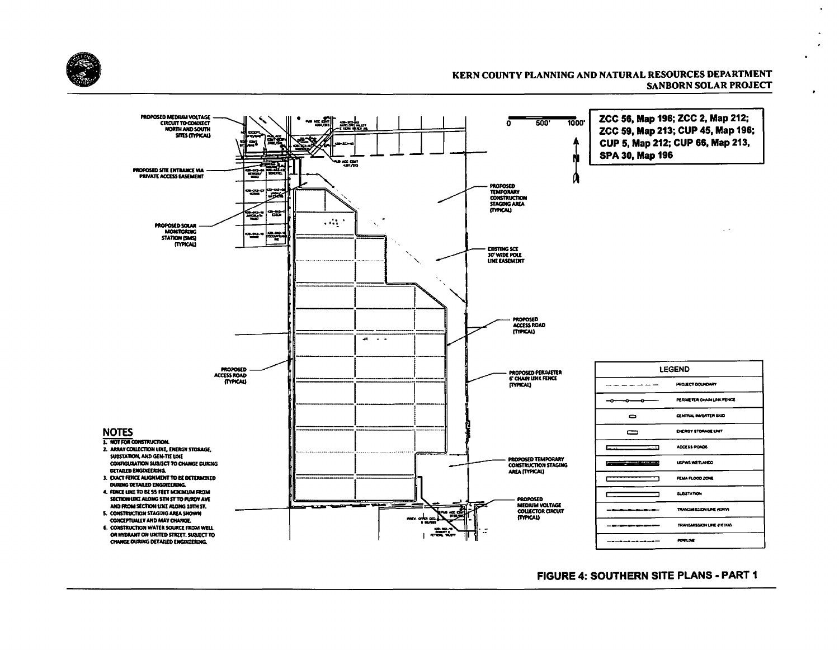

 $\bullet$ 



### **FIGURE 4: SOUTHERN SITE PLANS - PART 1**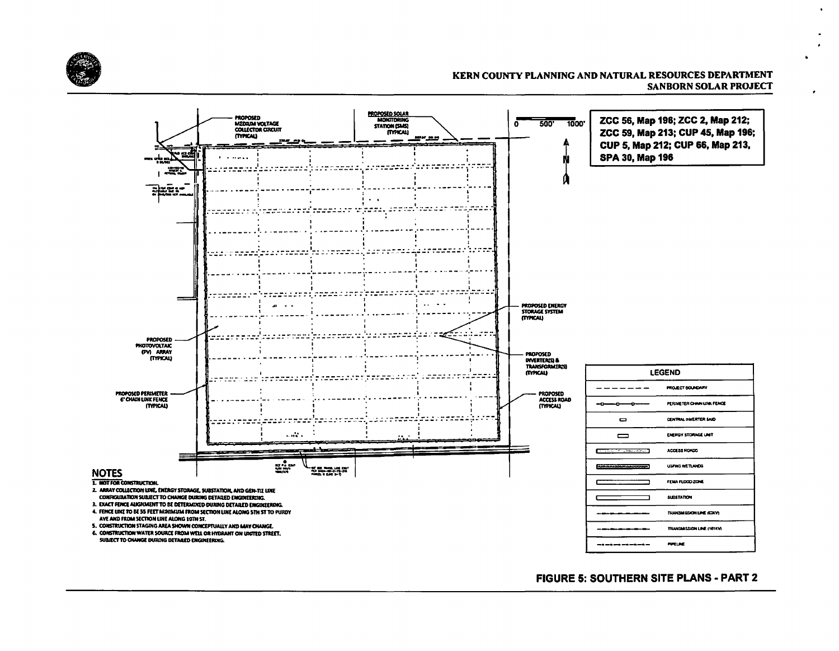



## **FIGURE 5: SOUTHERN SITE PLANS - PART 2**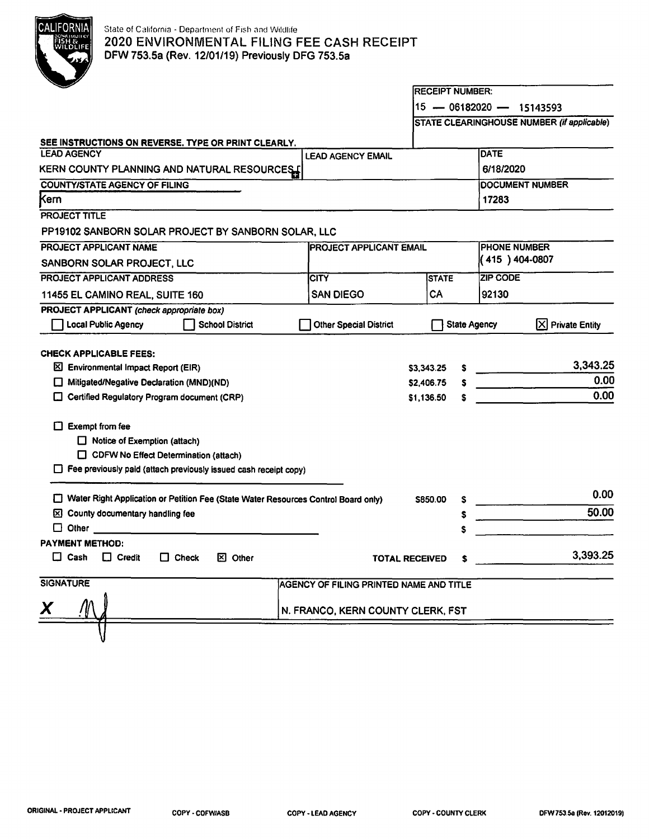

# State of California - Department of Fish and Wildlife 2020 ENVIRONMENTAL FILING FEE CASH RECEIPT DFW 753.Sa (Rev. 12/01/19) Previously DFG 753.Sa

|                                                                                                                                                                                                                                                                                    |                                         | <b>IRECEIPT NUMBER:</b>  |                     |                            |                                            |  |
|------------------------------------------------------------------------------------------------------------------------------------------------------------------------------------------------------------------------------------------------------------------------------------|-----------------------------------------|--------------------------|---------------------|----------------------------|--------------------------------------------|--|
|                                                                                                                                                                                                                                                                                    |                                         |                          |                     | $15 - 06182020 - 15143593$ |                                            |  |
|                                                                                                                                                                                                                                                                                    |                                         |                          |                     |                            | STATE CLEARINGHOUSE NUMBER (if applicable) |  |
| SEE INSTRUCTIONS ON REVERSE. TYPE OR PRINT CLEARLY.                                                                                                                                                                                                                                |                                         |                          |                     |                            |                                            |  |
| <b>LEAD AGENCY</b>                                                                                                                                                                                                                                                                 | <b>LEAD AGENCY EMAIL</b>                |                          |                     | <b>DATE</b>                |                                            |  |
| KERN COUNTY PLANNING AND NATURAL RESOURCES                                                                                                                                                                                                                                         |                                         |                          |                     | 6/18/2020                  |                                            |  |
| <b>COUNTY/STATE AGENCY OF FILING</b>                                                                                                                                                                                                                                               |                                         |                          |                     |                            | DOCUMENT NUMBER                            |  |
| Kern                                                                                                                                                                                                                                                                               |                                         |                          |                     | 17283                      |                                            |  |
| PROJECT TITLE                                                                                                                                                                                                                                                                      |                                         |                          |                     |                            |                                            |  |
| PP19102 SANBORN SOLAR PROJECT BY SANBORN SOLAR, LLC                                                                                                                                                                                                                                |                                         |                          |                     |                            |                                            |  |
| PROJECT APPLICANT NAME<br><b>IPROJECT APPLICANT EMAIL</b>                                                                                                                                                                                                                          |                                         |                          |                     |                            | <b>PHONE NUMBER</b>                        |  |
| SANBORN SOLAR PROJECT, LLC                                                                                                                                                                                                                                                         |                                         |                          |                     | (415) 404-0807             |                                            |  |
| PROJECT APPLICANT ADDRESS                                                                                                                                                                                                                                                          | <b>CITY</b>                             | <b>STATE</b>             |                     | <b>ZIP CODE</b>            |                                            |  |
| 11455 EL CAMINO REAL, SUITE 160                                                                                                                                                                                                                                                    | <b>SAN DIEGO</b>                        | CA                       |                     | 92130                      |                                            |  |
| PROJECT APPLICANT (check appropriate box)                                                                                                                                                                                                                                          |                                         |                          |                     |                            |                                            |  |
| <b>Local Public Agency</b><br><b>School District</b>                                                                                                                                                                                                                               | <b>Other Special District</b>           |                          | <b>State Agency</b> |                            | $ X $ Private Entity                       |  |
| Mitigated/Negative Declaration (MND)(ND)<br>Certified Regulatory Program document (CRP)<br><b>Exempt from fee</b><br>ΓŦ<br>$\Box$ Notice of Exemption (attach)<br>CDFW No Effect Determination (attach)<br>$\Box$ Fee previously paid (attach previously issued cash receipt copy) |                                         | \$2,406.75<br>\$1,136.50 | s                   |                            | 0.00<br>0.00                               |  |
| Water Right Application or Petition Fee (State Water Resources Control Board only)                                                                                                                                                                                                 |                                         | <b>S850.00</b>           |                     |                            | 0.00                                       |  |
| County documentary handling fee<br>⊠                                                                                                                                                                                                                                               |                                         |                          | s<br>s              |                            | 50.00                                      |  |
| □<br>Other                                                                                                                                                                                                                                                                         |                                         |                          |                     |                            |                                            |  |
| <b>PAYMENT METHOD:</b>                                                                                                                                                                                                                                                             |                                         |                          |                     |                            |                                            |  |
| Cash<br>П<br>$\Box$ Credit<br>$\Box$ Check<br><b>図 Other</b>                                                                                                                                                                                                                       |                                         | TOTAL RECEIVED           | s                   |                            | 3,393.25                                   |  |
| <b>SIGNATURE</b>                                                                                                                                                                                                                                                                   | AGENCY OF FILING PRINTED NAME AND TITLE |                          |                     |                            |                                            |  |
| Χ                                                                                                                                                                                                                                                                                  | N. FRANCO, KERN COUNTY CLERK, FST       |                          |                     |                            |                                            |  |
|                                                                                                                                                                                                                                                                                    |                                         |                          |                     |                            |                                            |  |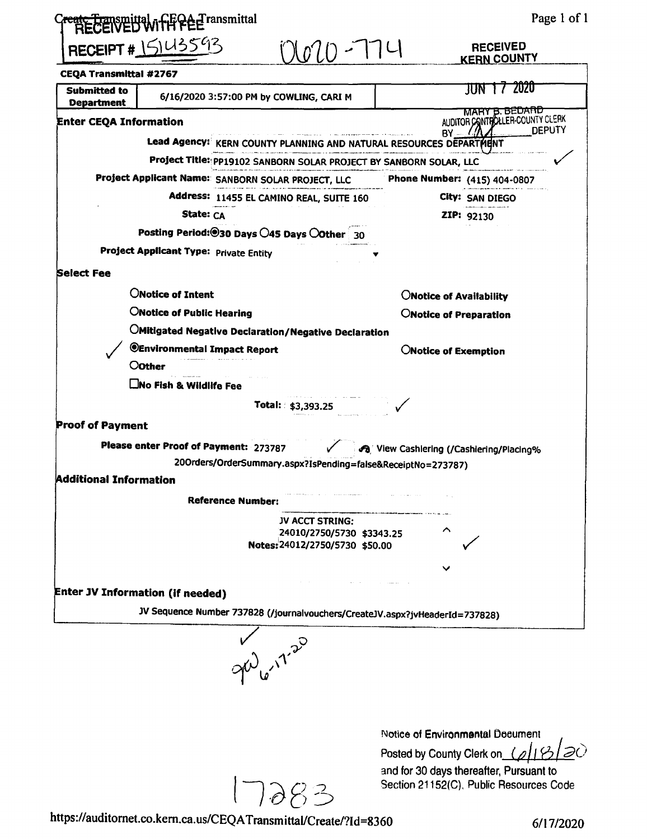| ate transmittal, if FCA Transmittal                                                 | Page 1 of 1                                       |
|-------------------------------------------------------------------------------------|---------------------------------------------------|
| RECEIPT # 15143593<br>$10 - 14$                                                     | <b>RECEIVED</b><br><b>KERN COUNTY</b>             |
| <b>CEQA Transmittal #2767</b>                                                       |                                                   |
| <b>Submitted to</b><br>6/16/2020 3:57:00 PM by COWLING, CARI M<br><b>Department</b> | 2020<br>JUN .                                     |
| <b>Enter CEQA Information</b>                                                       | MARY B. BEDARD<br>AUDITOR CONTROLLER-COUNTY CLERK |
| Lead Agency: KERN COUNTY PLANNING AND NATURAL RESOURCES DEPARTMENT                  | <b>DEPUTY</b><br>$BY = 11$                        |
| Project Title: PP19102 SANBORN SOLAR PROJECT BY SANBORN SOLAR, LLC                  |                                                   |
| Project Applicant Name: SANBORN SOLAR PROJECT, LLC Phone Number: (415) 404-0807     |                                                   |
| Address: 11455 EL CAMINO REAL, SUITE 160                                            | City: SAN DIEGO                                   |
| State: CA                                                                           | ZIP: 92130                                        |
| Posting Period: <sup>@</sup> 30 Days 045 Days 00ther 30                             |                                                   |
| <b>Project Applicant Type: Private Entity</b>                                       |                                                   |
| <b>Select Fee</b>                                                                   |                                                   |
| <b>ONotice of Intent</b>                                                            | ONotice of Availability                           |
| <b>ONotice of Public Hearing</b>                                                    | ONotice of Preparation                            |
| <b>OMitigated Negative Declaration/Negative Declaration</b>                         |                                                   |
| @Environmental Impact Report                                                        | <b>ONotice of Exemption</b>                       |
| <b>Oother</b>                                                                       |                                                   |
| <b>Cino Fish &amp; Wildlife Fee</b>                                                 |                                                   |
| Total: \$3,393.25                                                                   |                                                   |
|                                                                                     |                                                   |
| <b>Proof of Payment</b>                                                             |                                                   |
| Please enter Proof of Payment: 273787                                               | 43 View Cashiering (/Cashiering/Placing%          |
| 20Orders/OrderSummary.aspx?IsPending=false&ReceiptNo=273787)                        |                                                   |
| <b>Additional Information</b>                                                       |                                                   |
| <b>Reference Number:</b>                                                            |                                                   |
| JV ACCT STRING:                                                                     |                                                   |
| 24010/2750/5730 \$3343.25<br>Notes: 24012/2750/5730 \$50.00                         |                                                   |
|                                                                                     |                                                   |
|                                                                                     |                                                   |
| <b>Enter JV Information (if needed)</b>                                             |                                                   |
| JV Sequence Number 737828 (/journalvouchers/CreateJV.aspx?jvHeaderId=737828)        |                                                   |
|                                                                                     |                                                   |
| $y^{\nu}$                                                                           |                                                   |
|                                                                                     |                                                   |
|                                                                                     |                                                   |
|                                                                                     | Notice of Environmental Document                  |

17283

https://auditornet.co.kern.ca.us/CEQATransmittal/Create/?Id=8360

6/17/2020

and for 30 days thereafter, Pursuant to

Section 21152(C), Public Resources Code